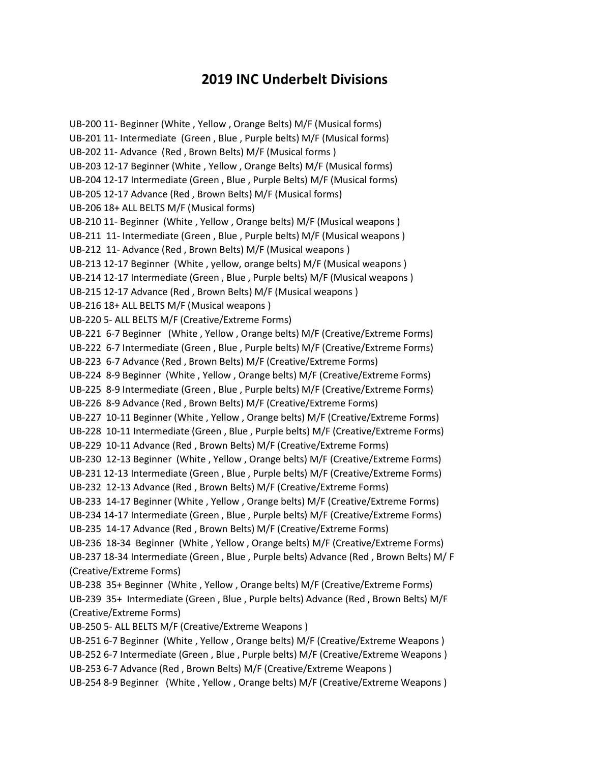## 2019 INC Underbelt Divisions

UB-200 11- Beginner (White , Yellow , Orange Belts) M/F (Musical forms) UB-201 11- Intermediate (Green , Blue , Purple belts) M/F (Musical forms) UB-202 11- Advance (Red , Brown Belts) M/F (Musical forms ) UB-203 12-17 Beginner (White , Yellow , Orange Belts) M/F (Musical forms) UB-204 12-17 Intermediate (Green , Blue , Purple Belts) M/F (Musical forms) UB-205 12-17 Advance (Red , Brown Belts) M/F (Musical forms) UB-206 18+ ALL BELTS M/F (Musical forms) UB-210 11- Beginner (White , Yellow , Orange belts) M/F (Musical weapons ) UB-211 11- Intermediate (Green , Blue , Purple belts) M/F (Musical weapons ) UB-212 11- Advance (Red , Brown Belts) M/F (Musical weapons ) UB-213 12-17 Beginner (White , yellow, orange belts) M/F (Musical weapons ) UB-214 12-17 Intermediate (Green , Blue , Purple belts) M/F (Musical weapons ) UB-215 12-17 Advance (Red , Brown Belts) M/F (Musical weapons ) UB-216 18+ ALL BELTS M/F (Musical weapons ) UB-220 5- ALL BELTS M/F (Creative/Extreme Forms) UB-221 6-7 Beginner (White , Yellow , Orange belts) M/F (Creative/Extreme Forms) UB-222 6-7 Intermediate (Green , Blue , Purple belts) M/F (Creative/Extreme Forms) UB-223 6-7 Advance (Red , Brown Belts) M/F (Creative/Extreme Forms) UB-224 8-9 Beginner (White , Yellow , Orange belts) M/F (Creative/Extreme Forms) UB-225 8-9 Intermediate (Green , Blue , Purple belts) M/F (Creative/Extreme Forms) UB-226 8-9 Advance (Red , Brown Belts) M/F (Creative/Extreme Forms) UB-227 10-11 Beginner (White , Yellow , Orange belts) M/F (Creative/Extreme Forms) UB-228 10-11 Intermediate (Green , Blue , Purple belts) M/F (Creative/Extreme Forms) UB-229 10-11 Advance (Red , Brown Belts) M/F (Creative/Extreme Forms) UB-230 12-13 Beginner (White , Yellow , Orange belts) M/F (Creative/Extreme Forms) UB-231 12-13 Intermediate (Green , Blue , Purple belts) M/F (Creative/Extreme Forms) UB-232 12-13 Advance (Red , Brown Belts) M/F (Creative/Extreme Forms) UB-233 14-17 Beginner (White , Yellow , Orange belts) M/F (Creative/Extreme Forms) UB-234 14-17 Intermediate (Green , Blue , Purple belts) M/F (Creative/Extreme Forms) UB-235 14-17 Advance (Red , Brown Belts) M/F (Creative/Extreme Forms) UB-236 18-34 Beginner (White , Yellow , Orange belts) M/F (Creative/Extreme Forms) UB-237 18-34 Intermediate (Green , Blue , Purple belts) Advance (Red , Brown Belts) M/ F (Creative/Extreme Forms) UB-238 35+ Beginner (White , Yellow , Orange belts) M/F (Creative/Extreme Forms) UB-239 35+ Intermediate (Green , Blue , Purple belts) Advance (Red , Brown Belts) M/F (Creative/Extreme Forms) UB-250 5- ALL BELTS M/F (Creative/Extreme Weapons ) UB-251 6-7 Beginner (White , Yellow , Orange belts) M/F (Creative/Extreme Weapons ) UB-252 6-7 Intermediate (Green , Blue , Purple belts) M/F (Creative/Extreme Weapons ) UB-253 6-7 Advance (Red , Brown Belts) M/F (Creative/Extreme Weapons ) UB-254 8-9 Beginner (White , Yellow , Orange belts) M/F (Creative/Extreme Weapons )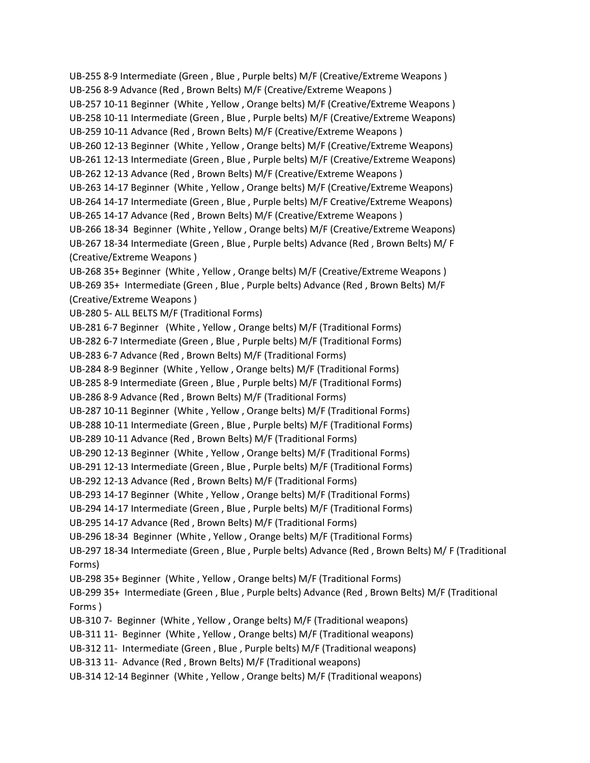UB-255 8-9 Intermediate (Green , Blue , Purple belts) M/F (Creative/Extreme Weapons ) UB-256 8-9 Advance (Red , Brown Belts) M/F (Creative/Extreme Weapons ) UB-257 10-11 Beginner (White , Yellow , Orange belts) M/F (Creative/Extreme Weapons ) UB-258 10-11 Intermediate (Green , Blue , Purple belts) M/F (Creative/Extreme Weapons) UB-259 10-11 Advance (Red , Brown Belts) M/F (Creative/Extreme Weapons ) UB-260 12-13 Beginner (White , Yellow , Orange belts) M/F (Creative/Extreme Weapons) UB-261 12-13 Intermediate (Green , Blue , Purple belts) M/F (Creative/Extreme Weapons) UB-262 12-13 Advance (Red , Brown Belts) M/F (Creative/Extreme Weapons ) UB-263 14-17 Beginner (White , Yellow , Orange belts) M/F (Creative/Extreme Weapons) UB-264 14-17 Intermediate (Green , Blue , Purple belts) M/F Creative/Extreme Weapons) UB-265 14-17 Advance (Red , Brown Belts) M/F (Creative/Extreme Weapons ) UB-266 18-34 Beginner (White , Yellow , Orange belts) M/F (Creative/Extreme Weapons) UB-267 18-34 Intermediate (Green , Blue , Purple belts) Advance (Red , Brown Belts) M/ F (Creative/Extreme Weapons ) UB-268 35+ Beginner (White , Yellow , Orange belts) M/F (Creative/Extreme Weapons ) UB-269 35+ Intermediate (Green , Blue , Purple belts) Advance (Red , Brown Belts) M/F (Creative/Extreme Weapons ) UB-280 5- ALL BELTS M/F (Traditional Forms) UB-281 6-7 Beginner (White , Yellow , Orange belts) M/F (Traditional Forms) UB-282 6-7 Intermediate (Green , Blue , Purple belts) M/F (Traditional Forms) UB-283 6-7 Advance (Red , Brown Belts) M/F (Traditional Forms) UB-284 8-9 Beginner (White , Yellow , Orange belts) M/F (Traditional Forms) UB-285 8-9 Intermediate (Green , Blue , Purple belts) M/F (Traditional Forms) UB-286 8-9 Advance (Red , Brown Belts) M/F (Traditional Forms) UB-287 10-11 Beginner (White , Yellow , Orange belts) M/F (Traditional Forms) UB-288 10-11 Intermediate (Green , Blue , Purple belts) M/F (Traditional Forms) UB-289 10-11 Advance (Red , Brown Belts) M/F (Traditional Forms) UB-290 12-13 Beginner (White , Yellow , Orange belts) M/F (Traditional Forms) UB-291 12-13 Intermediate (Green , Blue , Purple belts) M/F (Traditional Forms) UB-292 12-13 Advance (Red , Brown Belts) M/F (Traditional Forms) UB-293 14-17 Beginner (White , Yellow , Orange belts) M/F (Traditional Forms) UB-294 14-17 Intermediate (Green , Blue , Purple belts) M/F (Traditional Forms) UB-295 14-17 Advance (Red , Brown Belts) M/F (Traditional Forms) UB-296 18-34 Beginner (White , Yellow , Orange belts) M/F (Traditional Forms) UB-297 18-34 Intermediate (Green , Blue , Purple belts) Advance (Red , Brown Belts) M/ F (Traditional Forms) UB-298 35+ Beginner (White , Yellow , Orange belts) M/F (Traditional Forms) UB-299 35+ Intermediate (Green , Blue , Purple belts) Advance (Red , Brown Belts) M/F (Traditional Forms ) UB-310 7- Beginner (White , Yellow , Orange belts) M/F (Traditional weapons) UB-311 11- Beginner (White , Yellow , Orange belts) M/F (Traditional weapons) UB-312 11- Intermediate (Green , Blue , Purple belts) M/F (Traditional weapons) UB-313 11- Advance (Red , Brown Belts) M/F (Traditional weapons) UB-314 12-14 Beginner (White , Yellow , Orange belts) M/F (Traditional weapons)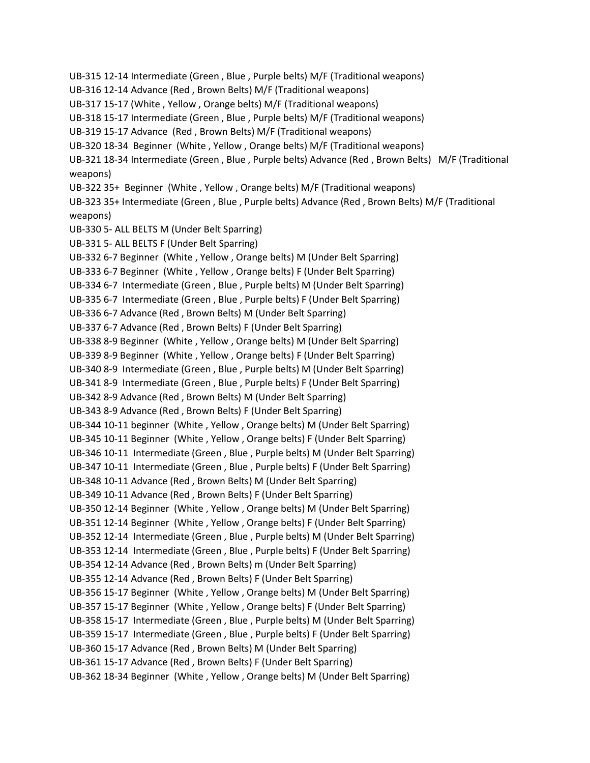UB-315 12-14 Intermediate (Green , Blue , Purple belts) M/F (Traditional weapons) UB-316 12-14 Advance (Red , Brown Belts) M/F (Traditional weapons) UB-317 15-17 (White , Yellow , Orange belts) M/F (Traditional weapons) UB-318 15-17 Intermediate (Green , Blue , Purple belts) M/F (Traditional weapons) UB-319 15-17 Advance (Red , Brown Belts) M/F (Traditional weapons) UB-320 18-34 Beginner (White , Yellow , Orange belts) M/F (Traditional weapons) UB-321 18-34 Intermediate (Green , Blue , Purple belts) Advance (Red , Brown Belts) M/F (Traditional weapons) UB-322 35+ Beginner (White , Yellow , Orange belts) M/F (Traditional weapons) UB-323 35+ Intermediate (Green , Blue , Purple belts) Advance (Red , Brown Belts) M/F (Traditional weapons) UB-330 5- ALL BELTS M (Under Belt Sparring) UB-331 5- ALL BELTS F (Under Belt Sparring) UB-332 6-7 Beginner (White , Yellow , Orange belts) M (Under Belt Sparring) UB-333 6-7 Beginner (White , Yellow , Orange belts) F (Under Belt Sparring) UB-334 6-7 Intermediate (Green , Blue , Purple belts) M (Under Belt Sparring) UB-335 6-7 Intermediate (Green , Blue , Purple belts) F (Under Belt Sparring) UB-336 6-7 Advance (Red , Brown Belts) M (Under Belt Sparring) UB-337 6-7 Advance (Red , Brown Belts) F (Under Belt Sparring) UB-338 8-9 Beginner (White , Yellow , Orange belts) M (Under Belt Sparring) UB-339 8-9 Beginner (White , Yellow , Orange belts) F (Under Belt Sparring) UB-340 8-9 Intermediate (Green , Blue , Purple belts) M (Under Belt Sparring) UB-341 8-9 Intermediate (Green , Blue , Purple belts) F (Under Belt Sparring) UB-342 8-9 Advance (Red , Brown Belts) M (Under Belt Sparring) UB-343 8-9 Advance (Red , Brown Belts) F (Under Belt Sparring) UB-344 10-11 beginner (White , Yellow , Orange belts) M (Under Belt Sparring) UB-345 10-11 Beginner (White , Yellow , Orange belts) F (Under Belt Sparring) UB-346 10-11 Intermediate (Green , Blue , Purple belts) M (Under Belt Sparring) UB-347 10-11 Intermediate (Green , Blue , Purple belts) F (Under Belt Sparring) UB-348 10-11 Advance (Red , Brown Belts) M (Under Belt Sparring) UB-349 10-11 Advance (Red , Brown Belts) F (Under Belt Sparring) UB-350 12-14 Beginner (White , Yellow , Orange belts) M (Under Belt Sparring) UB-351 12-14 Beginner (White , Yellow , Orange belts) F (Under Belt Sparring) UB-352 12-14 Intermediate (Green , Blue , Purple belts) M (Under Belt Sparring) UB-353 12-14 Intermediate (Green , Blue , Purple belts) F (Under Belt Sparring) UB-354 12-14 Advance (Red , Brown Belts) m (Under Belt Sparring) UB-355 12-14 Advance (Red , Brown Belts) F (Under Belt Sparring) UB-356 15-17 Beginner (White , Yellow , Orange belts) M (Under Belt Sparring) UB-357 15-17 Beginner (White , Yellow , Orange belts) F (Under Belt Sparring) UB-358 15-17 Intermediate (Green , Blue , Purple belts) M (Under Belt Sparring) UB-359 15-17 Intermediate (Green , Blue , Purple belts) F (Under Belt Sparring) UB-360 15-17 Advance (Red , Brown Belts) M (Under Belt Sparring) UB-361 15-17 Advance (Red , Brown Belts) F (Under Belt Sparring) UB-362 18-34 Beginner (White , Yellow , Orange belts) M (Under Belt Sparring)